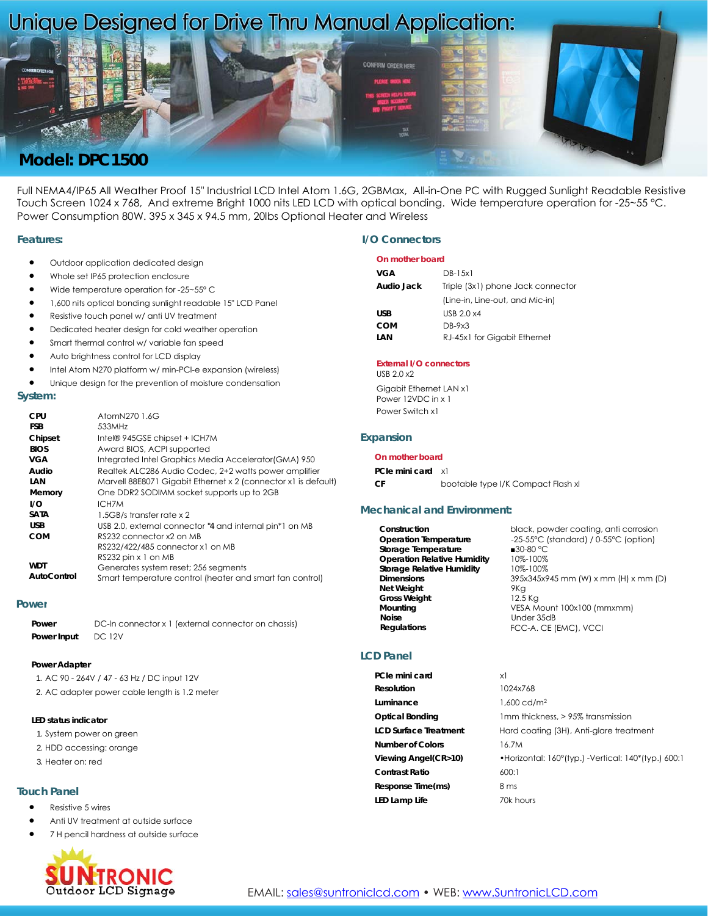# Unique Designed for Drive Thru Manual Application:



Full NEMA4/IP65 All Weather Proof 15" Industrial LCD Intel Atom 1.6G, 2GBMax, All-in-One PC with Rugged Sunlight Readable Resistive Touch Screen 1024 x 768, And extreme Bright 1000 nits LED LCD with optical bonding. Wide temperature operation for -25~55 °C. Power Consumption 80W. 395 x 345 x 94.5 mm, 20lbs Optional Heater and Wireless

#### **Features:**

- Outdoor application dedicated design
- Whole set IP65 protection enclosure
- Wide temperature operation for -25~55° C
- 1,600 nits optical bonding sunlight readable 15" LCD Panel
- Resistive touch panel w/ anti UV treatment
- Dedicated heater design for cold weather operation
- Smart thermal control w/ variable fan speed
- Auto brightness control for LCD display
- Intel Atom N270 platform w/ min-PCI-e expansion (wireless)
- Unique design for the prevention of moisture condensation

#### **System:**

| CPU         | AtomN270 1.6G                                                  |
|-------------|----------------------------------------------------------------|
| <b>FSB</b>  | 533MHz                                                         |
| Chipset     | Intel® 945GSE chipset + ICH7M                                  |
| <b>BIOS</b> | Award BIOS, ACPI supported                                     |
| VGA         | Integrated Intel Graphics Media Accelerator (GMA) 950          |
| Audio       | Realtek ALC286 Audio Codec, 2+2 watts power amplifier          |
| LAN         | Marvell 88E8071 Gigabit Ethernet x 2 (connector x1 is default) |
| Memory      | One DDR2 SODIMM socket supports up to 2GB                      |
| 1/O         | ICH7M                                                          |
| <b>SATA</b> | 1.5GB/s transfer rate x 2                                      |
| <b>USB</b>  | USB 2.0, external connector "4 and internal pin*1 on MB        |
| COM         | RS232 connector x2 on MB                                       |
|             | RS232/422/485 connector x1 on MB                               |
|             | RS232 pin x 1 on MB                                            |
| <b>WDT</b>  | Generates system reset; 256 segments                           |
| AutoControl | Smart temperature control (heater and smart fan control)       |

#### **Power**

| Power       | DC-In connector x 1 (external connector on chassis) |
|-------------|-----------------------------------------------------|
| Power Input | <b>DC 12V</b>                                       |

#### **Power Adapter**

- 1. AC 90 264V / 47 63 Hz / DC input 12V
- 2. AC adapter power cable length is 1.2 meter

### **LED status indicator**

- 1. System power on green
- 2. HDD accessing: orange
- 3. Heater on: red

## **Touch Panel**

- Resistive 5 wires
- Anti UV treatment at outside surface
- 7 H pencil hardness at outside surface



#### **I/O Connectors**

#### **On mother board**

| VGA        | $DB-1.5x1$                        |
|------------|-----------------------------------|
| Audio Jack | Triple (3x1) phone Jack connector |
|            | (Line-in, Line-out, and Mic-in)   |
| <b>USB</b> | USB $2.0 \times 4$                |
| COM        | $DB-9x3$                          |
| LAN        | RJ-45x1 for Gigabit Ethernet      |

#### **External I/O connectors** USB 2.0 x2

Gigabit Ethernet LAN x1 Power 12VDC in x 1 Power Switch x1

#### **Expansion**

#### **On mother board**

**PCIe mini card** x1

**CF** bootable type I/K Compact Flash xl

#### **Mechanical and Environment:**

| Construction                       | black, powder coating, anti corrosion |
|------------------------------------|---------------------------------------|
| <b>Operation Temperature</b>       | -25-55°C (standard) / 0-55°C (option) |
| Storage Temperature                | ■30-80 $°C$                           |
| <b>Operation Relative Humidity</b> | 10%-100%                              |
| <b>Storage Relative Humidity</b>   | 10%-100%                              |
| <b>Dimensions</b>                  | 395x345x945 mm (W) x mm (H) x mm (D)  |
| <b>Net Weight</b>                  | 9Kg                                   |
| <b>Gross Weight</b>                | 12.5 Kg                               |
| Mounting                           | VESA Mount 100x100 (mmxmm)            |
| <b>Noise</b>                       | Under 35dB                            |
| <b>Regulations</b>                 | FCC-A. CE (EMC), VCCI                 |

#### **LCD Panel**

| PCIe mini card               | xl                                                  |
|------------------------------|-----------------------------------------------------|
| Resolution                   | 1024x768                                            |
| Luminance                    | $1.600 \text{ cd/m}^2$                              |
| <b>Optical Bonding</b>       | 1 mm thickness, > 95% transmission                  |
| <b>LCD Surface Treatment</b> | Hard coating (3H), Anti-glare treatment             |
| <b>Number of Colors</b>      | 16.7M                                               |
| Viewing Angel(CR>10)         | •Horizontal: 160°(typ.) -Vertical: 140*(typ.) 600:1 |
| <b>Contrast Ratio</b>        | 600:1                                               |
| Response Time(ms)            | 8 ms                                                |
| LED Lamp Life                | 70k hours                                           |
|                              |                                                     |